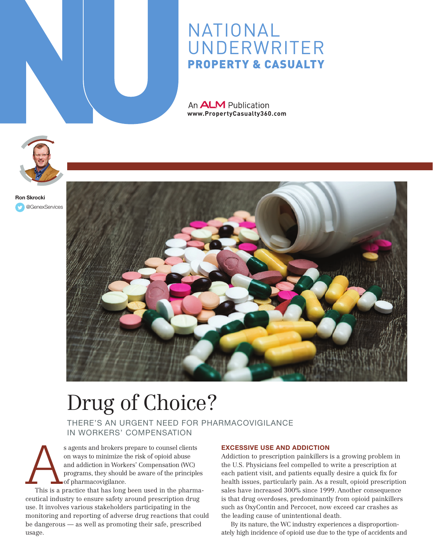

## NATIONAL **UNDERWRITER** Property & Casualty

An **ALM** Publication **www.PropertyCasualty360.com** 



[@GenexServices](https://twitter.com/GenexServices) Ron Skrocki



# Drug of Choice?

There's an urgent need for pharmacovigilance in Workers' Compensation

Sagents and brokers prepare to counsel clients<br>
on ways to minimize the risk of opioid abuse<br>
and addiction in Workers' Compensation (WC)<br>
programs, they should be aware of the principles<br>
of pharmacovigilance.<br>
This is a on ways to minimize the risk of opioid abuse and addiction in Workers' Compensation (WC) programs, they should be aware of the principles of pharmacovigilance.

ceutical industry to ensure safety around prescription drug use. It involves various stakeholders participating in the monitoring and reporting of adverse drug reactions that could be dangerous — as well as promoting their safe, prescribed usage.

#### Excessive Use and Addiction

Addiction to prescription painkillers is a growing problem in the U.S. Physicians feel compelled to write a prescription at each patient visit, and patients equally desire a quick fix for health issues, particularly pain. As a result, opioid prescription sales have increased 300% since 1999. Another consequence is that drug overdoses, predominantly from opioid painkillers such as OxyContin and Percocet, now exceed car crashes as the leading cause of unintentional death.

By its nature, the WC industry experiences a disproportionately high incidence of opioid use due to the type of accidents and